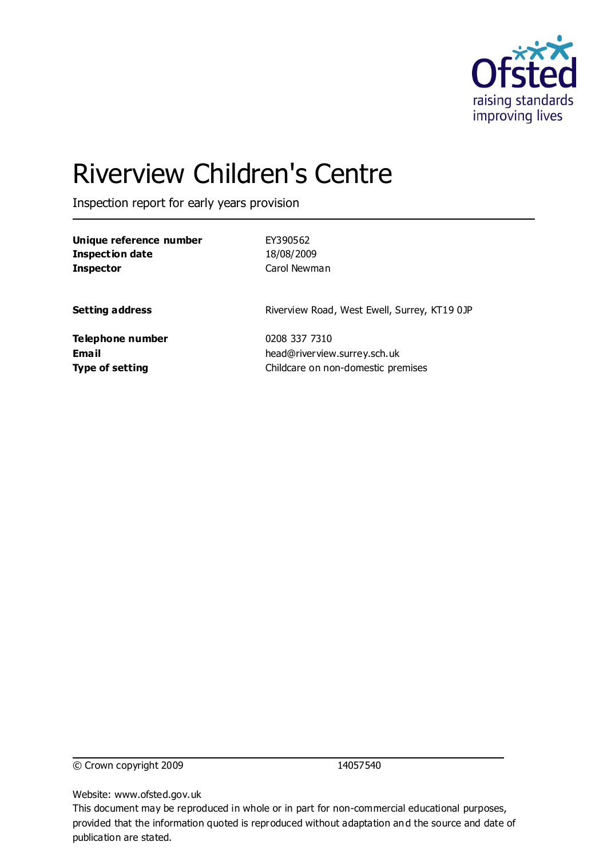

# Riverview Children's Centre

Inspection report for early years provision

| Unique reference number | EY390562                                     |
|-------------------------|----------------------------------------------|
| <b>Inspection date</b>  | 18/08/2009                                   |
| <b>Inspector</b>        | Carol Newman                                 |
|                         |                                              |
| <b>Setting address</b>  | Riverview Road, West Ewell, Surrey, KT19 0JP |
| Telephone number        | 0208 337 7310                                |
| Email                   | head@riverview.surrey.sch.uk                 |
| <b>Type of setting</b>  | Childcare on non-domestic premises           |

© Crown copyright 2009 14057540

Website: www.ofsted.gov.uk

This document may be reproduced in whole or in part for non-commercial educational purposes, provided that the information quoted is reproduced without adaptation and the source and date of publication are stated.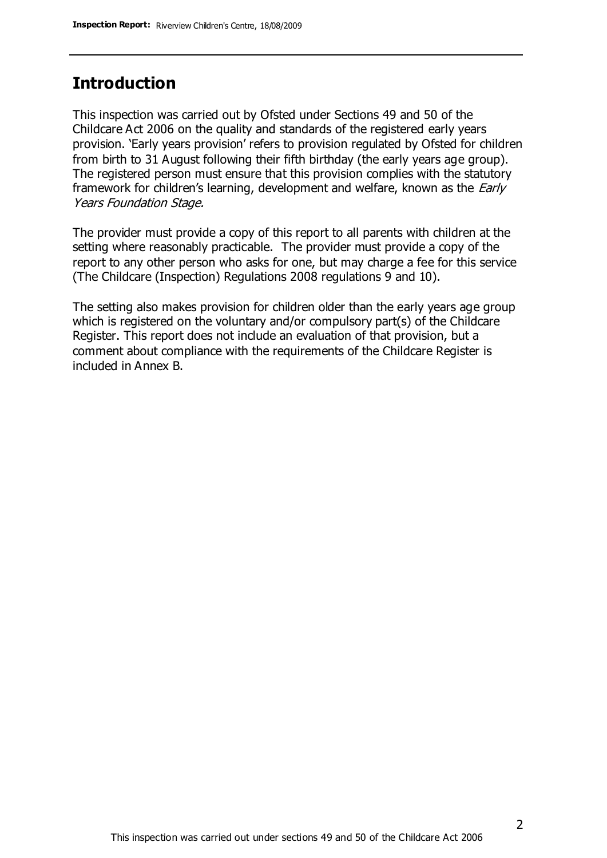## **Introduction**

This inspection was carried out by Ofsted under Sections 49 and 50 of the Childcare Act 2006 on the quality and standards of the registered early years provision. 'Early years provision' refers to provision regulated by Ofsted for children from birth to 31 August following their fifth birthday (the early years age group). The registered person must ensure that this provision complies with the statutory framework for children's learning, development and welfare, known as the *Early* Years Foundation Stage.

The provider must provide a copy of this report to all parents with children at the setting where reasonably practicable. The provider must provide a copy of the report to any other person who asks for one, but may charge a fee for this service (The Childcare (Inspection) Regulations 2008 regulations 9 and 10).

The setting also makes provision for children older than the early years age group which is registered on the voluntary and/or compulsory part(s) of the Childcare Register. This report does not include an evaluation of that provision, but a comment about compliance with the requirements of the Childcare Register is included in Annex B.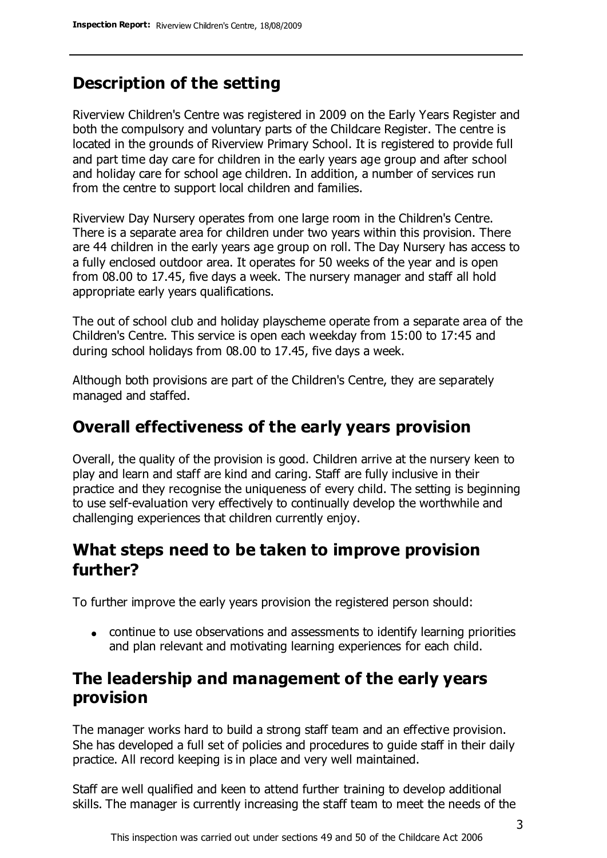### **Description of the setting**

Riverview Children's Centre was registered in 2009 on the Early Years Register and both the compulsory and voluntary parts of the Childcare Register. The centre is located in the grounds of Riverview Primary School. It is registered to provide full and part time day care for children in the early years age group and after school and holiday care for school age children. In addition, a number of services run from the centre to support local children and families.

Riverview Day Nursery operates from one large room in the Children's Centre. There is a separate area for children under two years within this provision. There are 44 children in the early years age group on roll. The Day Nursery has access to a fully enclosed outdoor area. It operates for 50 weeks of the year and is open from 08.00 to 17.45, five days a week. The nursery manager and staff all hold appropriate early years qualifications.

The out of school club and holiday playscheme operate from a separate area of the Children's Centre. This service is open each weekday from 15:00 to 17:45 and during school holidays from 08.00 to 17.45, five days a week.

Although both provisions are part of the Children's Centre, they are separately managed and staffed.

#### **Overall effectiveness of the early years provision**

Overall, the quality of the provision is good. Children arrive at the nursery keen to play and learn and staff are kind and caring. Staff are fully inclusive in their practice and they recognise the uniqueness of every child. The setting is beginning to use self-evaluation very effectively to continually develop the worthwhile and challenging experiences that children currently enjoy.

### **What steps need to be taken to improve provision further?**

To further improve the early years provision the registered person should:

continue to use observations and assessments to identify learning priorities and plan relevant and motivating learning experiences for each child.

### **The leadership and management of the early years provision**

The manager works hard to build a strong staff team and an effective provision. She has developed a full set of policies and procedures to guide staff in their daily practice. All record keeping is in place and very well maintained.

Staff are well qualified and keen to attend further training to develop additional skills. The manager is currently increasing the staff team to meet the needs of the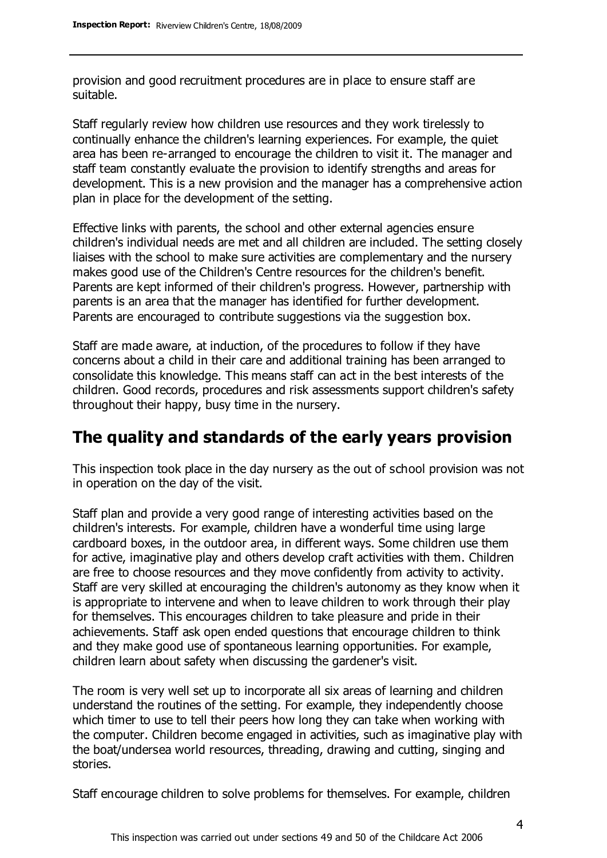provision and good recruitment procedures are in place to ensure staff are suitable.

Staff regularly review how children use resources and they work tirelessly to continually enhance the children's learning experiences. For example, the quiet area has been re-arranged to encourage the children to visit it. The manager and staff team constantly evaluate the provision to identify strengths and areas for development. This is a new provision and the manager has a comprehensive action plan in place for the development of the setting.

Effective links with parents, the school and other external agencies ensure children's individual needs are met and all children are included. The setting closely liaises with the school to make sure activities are complementary and the nursery makes good use of the Children's Centre resources for the children's benefit. Parents are kept informed of their children's progress. However, partnership with parents is an area that the manager has identified for further development. Parents are encouraged to contribute suggestions via the suggestion box.

Staff are made aware, at induction, of the procedures to follow if they have concerns about a child in their care and additional training has been arranged to consolidate this knowledge. This means staff can act in the best interests of the children. Good records, procedures and risk assessments support children's safety throughout their happy, busy time in the nursery.

#### **The quality and standards of the early years provision**

This inspection took place in the day nursery as the out of school provision was not in operation on the day of the visit.

Staff plan and provide a very good range of interesting activities based on the children's interests. For example, children have a wonderful time using large cardboard boxes, in the outdoor area, in different ways. Some children use them for active, imaginative play and others develop craft activities with them. Children are free to choose resources and they move confidently from activity to activity. Staff are very skilled at encouraging the children's autonomy as they know when it is appropriate to intervene and when to leave children to work through their play for themselves. This encourages children to take pleasure and pride in their achievements. Staff ask open ended questions that encourage children to think and they make good use of spontaneous learning opportunities. For example, children learn about safety when discussing the gardener's visit.

The room is very well set up to incorporate all six areas of learning and children understand the routines of the setting. For example, they independently choose which timer to use to tell their peers how long they can take when working with the computer. Children become engaged in activities, such as imaginative play with the boat/undersea world resources, threading, drawing and cutting, singing and stories.

Staff encourage children to solve problems for themselves. For example, children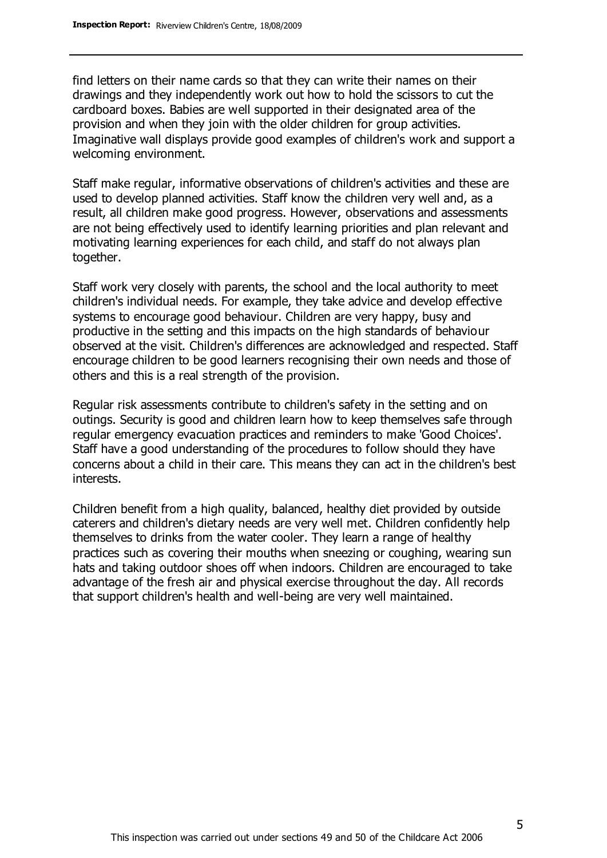find letters on their name cards so that they can write their names on their drawings and they independently work out how to hold the scissors to cut the cardboard boxes. Babies are well supported in their designated area of the provision and when they join with the older children for group activities. Imaginative wall displays provide good examples of children's work and support a welcoming environment.

Staff make regular, informative observations of children's activities and these are used to develop planned activities. Staff know the children very well and, as a result, all children make good progress. However, observations and assessments are not being effectively used to identify learning priorities and plan relevant and motivating learning experiences for each child, and staff do not always plan together.

Staff work very closely with parents, the school and the local authority to meet children's individual needs. For example, they take advice and develop effective systems to encourage good behaviour. Children are very happy, busy and productive in the setting and this impacts on the high standards of behaviour observed at the visit. Children's differences are acknowledged and respected. Staff encourage children to be good learners recognising their own needs and those of others and this is a real strength of the provision.

Regular risk assessments contribute to children's safety in the setting and on outings. Security is good and children learn how to keep themselves safe through regular emergency evacuation practices and reminders to make 'Good Choices'. Staff have a good understanding of the procedures to follow should they have concerns about a child in their care. This means they can act in the children's best interests.

Children benefit from a high quality, balanced, healthy diet provided by outside caterers and children's dietary needs are very well met. Children confidently help themselves to drinks from the water cooler. They learn a range of healthy practices such as covering their mouths when sneezing or coughing, wearing sun hats and taking outdoor shoes off when indoors. Children are encouraged to take advantage of the fresh air and physical exercise throughout the day. All records that support children's health and well-being are very well maintained.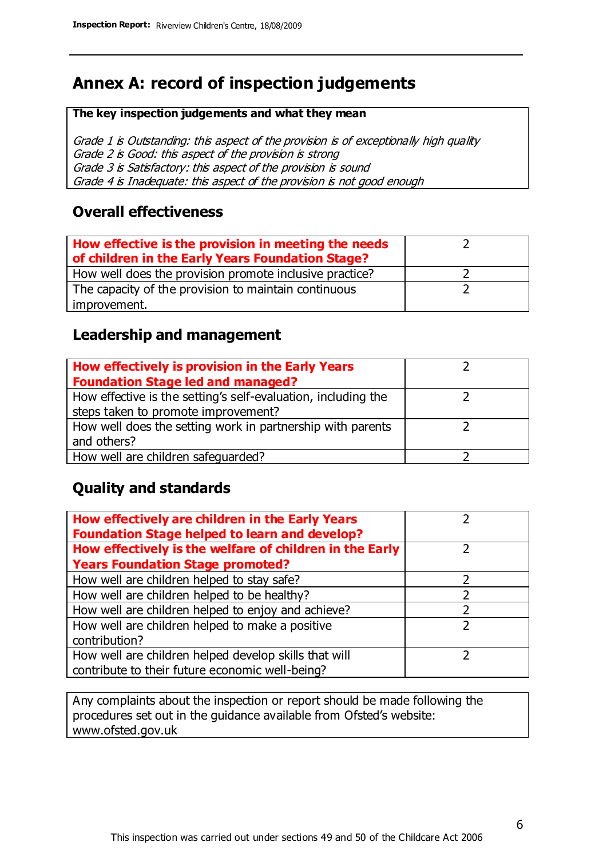## **Annex A: record of inspection judgements**

#### **The key inspection judgements and what they mean**

Grade 1 is Outstanding: this aspect of the provision is of exceptionally high quality Grade 2 is Good: this aspect of the provision is strong Grade 3 is Satisfactory: this aspect of the provision is sound Grade 4 is Inadequate: this aspect of the provision is not good enough

#### **Overall effectiveness**

| How effective is the provision in meeting the needs<br>of children in the Early Years Foundation Stage? |  |
|---------------------------------------------------------------------------------------------------------|--|
| How well does the provision promote inclusive practice?                                                 |  |
| The capacity of the provision to maintain continuous                                                    |  |
| improvement.                                                                                            |  |

#### **Leadership and management**

| How effectively is provision in the Early Years               |  |
|---------------------------------------------------------------|--|
| <b>Foundation Stage led and managed?</b>                      |  |
| How effective is the setting's self-evaluation, including the |  |
| steps taken to promote improvement?                           |  |
| How well does the setting work in partnership with parents    |  |
| and others?                                                   |  |
| How well are children safequarded?                            |  |

#### **Quality and standards**

| How effectively are children in the Early Years<br><b>Foundation Stage helped to learn and develop?</b> |   |
|---------------------------------------------------------------------------------------------------------|---|
| How effectively is the welfare of children in the Early                                                 | ר |
| <b>Years Foundation Stage promoted?</b>                                                                 |   |
| How well are children helped to stay safe?                                                              |   |
| How well are children helped to be healthy?                                                             |   |
| How well are children helped to enjoy and achieve?                                                      |   |
| How well are children helped to make a positive                                                         | 2 |
| contribution?                                                                                           |   |
| How well are children helped develop skills that will                                                   |   |
| contribute to their future economic well-being?                                                         |   |

Any complaints about the inspection or report should be made following the procedures set out in the guidance available from Ofsted's website: www.ofsted.gov.uk